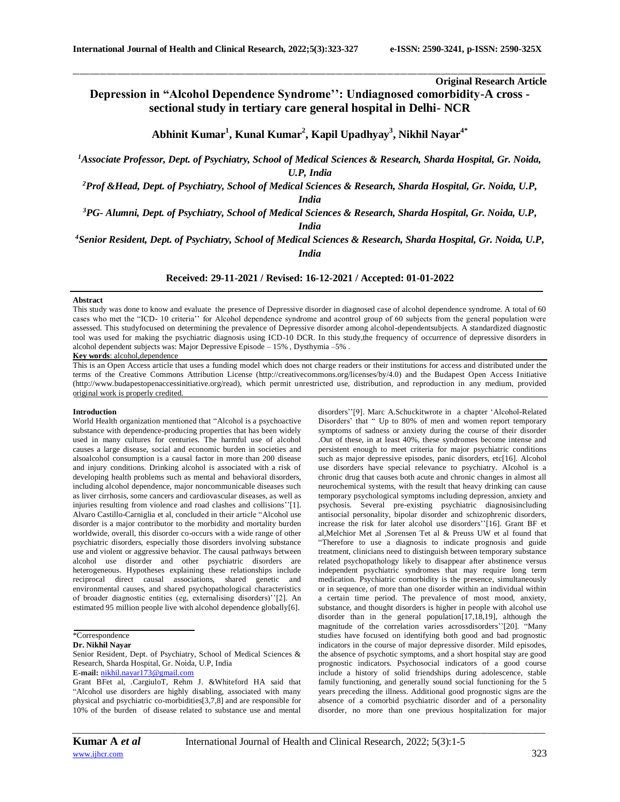**Original Research Article**

# **Depression in "Alcohol Dependence Syndrome'': Undiagnosed comorbidity-A cross sectional study in tertiary care general hospital in Delhi- NCR**

\_\_\_\_\_\_\_\_\_\_\_\_\_\_\_\_\_\_\_\_\_\_\_\_\_\_\_\_\_\_\_\_\_\_\_\_\_\_\_\_\_\_\_\_\_\_\_\_\_\_\_\_\_\_\_\_\_\_\_\_\_\_\_\_\_\_\_\_\_\_\_\_\_\_\_\_\_\_\_\_\_\_\_\_\_\_\_\_\_\_\_\_\_\_\_\_\_\_\_\_\_\_\_\_\_\_\_\_\_\_\_\_\_\_\_\_\_\_\_\_\_\_\_\_\_\_\_\_\_\_\_\_\_\_\_\_\_\_\_\_

**Abhinit Kumar<sup>1</sup> , Kunal Kumar<sup>2</sup> , Kapil Upadhyay<sup>3</sup> , Nikhil Nayar4\***

*<sup>1</sup>Associate Professor, Dept. of Psychiatry, School of Medical Sciences & Research, Sharda Hospital, Gr. Noida, U.P, India*

*<sup>2</sup>Prof &Head, Dept. of Psychiatry, School of Medical Sciences & Research, Sharda Hospital, Gr. Noida, U.P, India*

*<sup>3</sup>PG- Alumni, Dept. of Psychiatry, School of Medical Sciences & Research, Sharda Hospital, Gr. Noida, U.P,* 

*India*

*<sup>4</sup>Senior Resident, Dept. of Psychiatry, School of Medical Sciences & Research, Sharda Hospital, Gr. Noida, U.P, India*

**Received: 29-11-2021 / Revised: 16-12-2021 / Accepted: 01-01-2022**

## **Abstract**

This study was done to know and evaluate the presence of Depressive disorder in diagnosed case of alcohol dependence syndrome. A total of 60 cases who met the "ICD- 10 criteria'' for Alcohol dependence syndrome and acontrol group of 60 subjects from the general population were assessed. This studyfocused on determining the prevalence of Depressive disorder among alcohol-dependentsubjects. A standardized diagnostic tool was used for making the psychiatric diagnosis using ICD-10 DCR. In this study,the frequency of occurrence of depressive disorders in alcohol dependent subjects was: Major Depressive Episode – 15% , Dysthymia –5% . **Key words**: alcohol,dependence

This is an Open Access article that uses a funding model which does not charge readers or their institutions for access and distributed under the terms of the Creative Commons Attribution License (http://creativecommons.org/licenses/by/4.0) and the Budapest Open Access Initiative (http://www.budapestopenaccessinitiative.org/read), which permit unrestricted use, distribution, and reproduction in any medium, provided original work is properly credited.

## **Introduction**

World Health organization mentioned that "Alcohol is a psychoactive substance with dependence-producing properties that has been widely used in many cultures for centuries. The harmful use of alcohol causes a large disease, social and economic burden in societies and alsoalcohol consumption is a causal factor in more than 200 disease and injury conditions. Drinking alcohol is associated with a risk of developing health problems such as mental and behavioral disorders, including alcohol dependence, major noncommunicable diseases such as liver cirrhosis, some cancers and cardiovascular diseases, as well as injuries resulting from violence and road clashes and collisions''[1]. [Alvaro Castillo-Carniglia](https://www.ncbi.nlm.nih.gov/pubmed/?term=Castillo-Carniglia%20A%5BAuthor%5D&cauthor=true&cauthor_uid=31630984) et al, concluded in their article "Alcohol use disorder is a major contributor to the morbidity and mortality burden worldwide, overall, this disorder co-occurs with a wide range of other psychiatric disorders, especially those disorders involving substance use and violent or aggressive behavior. The causal pathways between alcohol use disorder and other psychiatric disorders are heterogeneous. Hypotheses explaining these relationships include reciprocal direct causal associations, shared genetic and environmental causes, and shared psychopathological characteristics of broader diagnostic entities (eg, externalising disorders)''[2]. An estimated 95 million people live with alcohol dependence globally[6].

Senior Resident, Dept. of Psychiatry, School of Medical Sciences & Research, Sharda Hospital, Gr. Noida, U.P, India

**E-mail:** [nikhil.nayar173@gmail.com](mailto:nikhil.nayar173@gmail.com)

disorders''[9]. Marc A.Schuckitwrote in a chapter 'Alcohol-Related Disorders' that " Up to 80% of men and women report temporary symptoms of sadness or anxiety during the course of their disorder .Out of these, in at least 40%, these syndromes become intense and persistent enough to meet criteria for major psychiatric conditions such as major depressive episodes, panic disorders, etc[16]. Alcohol use disorders have special relevance to psychiatry. Alcohol is a chronic drug that causes both acute and chronic changes in almost all neurochemical systems, with the result that heavy drinking can cause temporary psychological symptoms including depression, anxiety and psychosis. Several pre-existing psychiatric diagnosisincluding antisocial personality, bipolar disorder and schizophrenic disorders, increase the risk for later alcohol use disorders''[16]. Grant BF et al,Melchior Met al ,Sorensen Tet al & Preuss UW et al found that "Therefore to use a diagnosis to indicate prognosis and guide treatment, clinicians need to distinguish between temporary substance related psychopathology likely to disappear after abstinence versus independent psychiatric syndromes that may require long term medication. Psychiatric comorbidity is the presence, simultaneously or in sequence, of more than one disorder within an individual within a certain time period. The prevalence of most mood, anxiety, substance, and thought disorders is higher in people with alcohol use disorder than in the general population[17,18,19], although the magnitude of the correlation varies acrossdisorders''[20]. "Many studies have focused on identifying both good and bad prognostic indicators in the course of major depressive disorder. Mild episodes, the absence of psychotic symptoms, and a short hospital stay are good prognostic indicators. Psychosocial indicators of a good course include a history of solid friendships during adolescence, stable family functioning, and generally sound social functioning for the 5 years preceding the illness. Additional good prognostic signs are the absence of a comorbid psychiatric disorder and of a personality disorder, no more than one previous hospitalization for major

<sup>\*</sup>Correspondence

**Dr. Nikhil Nayar**

Grant BFet al, .CargiuloT, Rehm J. &Whiteford HA said that "Alcohol use disorders are highly disabling, associated with many physical and psychiatric co-morbidities[3,7,8] and are responsible for 10% of the burden of disease related to substance use and mental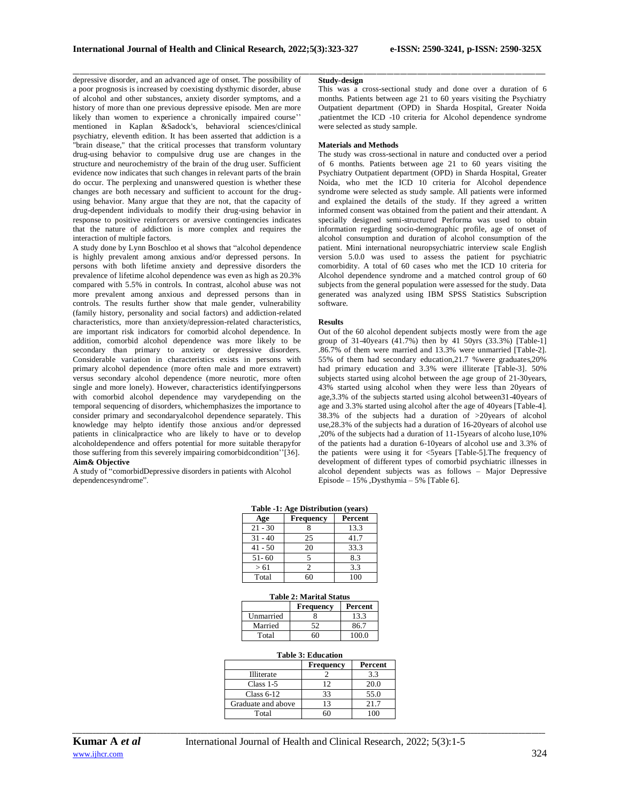depressive disorder, and an advanced age of onset. The possibility of a poor prognosis is increased by coexisting dysthymic disorder, abuse of alcohol and other substances, anxiety disorder symptoms, and a history of more than one previous depressive episode. Men are more likely than women to experience a chronically impaired course'' mentioned in Kaplan &Sadock's, behavioral sciences/clinical psychiatry, eleventh edition. It has been asserted that addiction is a "brain disease," that the critical processes that transform voluntary drug-using behavior to compulsive drug use are changes in the structure and neurochemistry of the brain of the drug user. Sufficient evidence now indicates that such changes in relevant parts of the brain do occur. The perplexing and unanswered question is whether these changes are both necessary and sufficient to account for the drugusing behavior. Many argue that they are not, that the capacity of drug-dependent individuals to modify their drug-using behavior in response to positive reinforcers or aversive contingencies indicates that the nature of addiction is more complex and requires the interaction of multiple factors.

A study done by Lynn [Boschloo](https://www.sciencedirect.com/science/article/pii/S0165032710007494#!) et al shows that "alcohol dependence is highly prevalent among anxious and/or depressed persons. In persons with both lifetime anxiety and depressive disorders the prevalence of lifetime alcohol dependence was even as high as 20.3% compared with 5.5% in controls. In contrast, alcohol abuse was not more prevalent among anxious and depressed persons than in controls. The results further show that male gender, vulnerability (family history, personality and social factors) and addiction-related characteristics, more than anxiety/depression-related characteristics, are important risk indicators for comorbid alcohol dependence. In addition, comorbid alcohol dependence was more likely to be secondary than primary to anxiety or depressive disorders. Considerable variation in characteristics exists in persons with primary alcohol dependence (more often male and more extravert) versus secondary alcohol dependence (more neurotic, more often single and more lonely). However, characteristics identifyingpersons with comorbid alcohol dependence may varydepending on the temporal sequencing of disorders, whichemphasizes the importance to consider primary and secondaryalcohol dependence separately. This knowledge may helpto identify those anxious and/or depressed patients in clinicalpractice who are likely to have or to develop alcoholdependence and offers potential for more suitable therapyfor those suffering from this severely impairing comorbidcondition''[36]. **Aim& Objective**

A study of "comorbidDepressive disorders in patients with Alcohol dependencesyndrome".

## **Study-design**

\_\_\_\_\_\_\_\_\_\_\_\_\_\_\_\_\_\_\_\_\_\_\_\_\_\_\_\_\_\_\_\_\_\_\_\_\_\_\_\_\_\_\_\_\_\_\_\_\_\_\_\_\_\_\_\_\_\_\_\_\_\_\_\_\_\_\_\_\_\_\_\_\_\_\_\_\_\_\_\_\_\_\_\_\_\_\_\_\_\_\_\_\_\_\_\_\_\_\_\_\_\_\_\_\_\_\_\_\_\_\_\_\_\_\_\_\_\_\_\_\_\_\_\_\_\_\_\_\_\_\_\_\_\_\_\_\_\_\_\_

This was a cross-sectional study and done over a duration of 6 months. Patients between age 21 to 60 years visiting the Psychiatry Outpatient department (OPD) in Sharda Hospital, Greater Noida ,patientmet the ICD -10 criteria for Alcohol dependence syndrome were selected as study sample.

## **Materials and Methods**

The study was cross-sectional in nature and conducted over a period of 6 months. Patients between age 21 to 60 years visiting the Psychiatry Outpatient department (OPD) in Sharda Hospital, Greater Noida, who met the ICD 10 criteria for Alcohol dependence syndrome were selected as study sample. All patients were informed and explained the details of the study. If they agreed a written informed consent was obtained from the patient and their attendant. A specially designed semi-structured Performa was used to obtain information regarding socio-demographic profile, age of onset of alcohol consumption and duration of alcohol consumption of the patient. Mini international neuropsychiatric interview scale English version 5.0.0 was used to assess the patient for psychiatric comorbidity. A total of 60 cases who met the ICD 10 criteria for Alcohol dependence syndrome and a matched control group of 60 subjects from the general population were assessed for the study. Data generated was analyzed using IBM SPSS Statistics Subscription software.

#### **Results**

Out of the 60 alcohol dependent subjects mostly were from the age group of 31-40years  $(41.7%)$  then by 41 50yrs  $(33.3%)$  [Table-1] .86.7% of them were married and 13.3% were unmarried [Table-2]. 55% of them had secondary education,21.7 %were graduates,20% had primary education and 3.3% were illiterate [Table-3]. 50% subjects started using alcohol between the age group of 21-30years, 43% started using alcohol when they were less than 20years of age,3.3% of the subjects started using alcohol between31-40years of age and 3.3% started using alcohol after the age of 40years [Table-4]. 38.3% of the subjects had a duration of >20years of alcohol use,28.3% of the subjects had a duration of 16-20years of alcohol use ,20% of the subjects had a duration of 11-15years of alcoho luse,10% of the patients had a duration 6-10years of alcohol use and 3.3% of the patients were using it for <5years [Table-5]. The frequency of development of different types of comorbid psychiatric illnesses in alcohol dependent subjects was as follows – Major Depressive Episode –  $15\%$ , Dysthymia –  $5\%$  [Table 6].

| Table -1: Age Distribution (years) |           |         |  |
|------------------------------------|-----------|---------|--|
| Age                                | Frequency | Percent |  |
| $21 - 30$                          |           | 13.3    |  |
| $31 - 40$                          | 25        | 41.7    |  |
| $41 - 50$                          | 20        | 33.3    |  |
| $51 - 60$                          | 5         | 8.3     |  |
| > 61                               | っ         | 3.3     |  |
| Total                              |           | 100     |  |

| <b>Table 2: Marital Status</b> |    |       |  |
|--------------------------------|----|-------|--|
| Percent<br>Frequency           |    |       |  |
| Unmarried                      |    | 13.3  |  |
| Married                        | 52 | 86 7  |  |
| Total                          |    | 100.0 |  |

| <b>Table 3: Education</b> |           |         |  |
|---------------------------|-----------|---------|--|
|                           | Frequency | Percent |  |
| <b>Illiterate</b>         |           | 3.3     |  |
| $Class 1-5$               | 12        | 20.0    |  |
| Class $6-12$              | 33        | 55.0    |  |
| Graduate and above        | 13        | 21.7    |  |
| Total                     | ናበ        | 100     |  |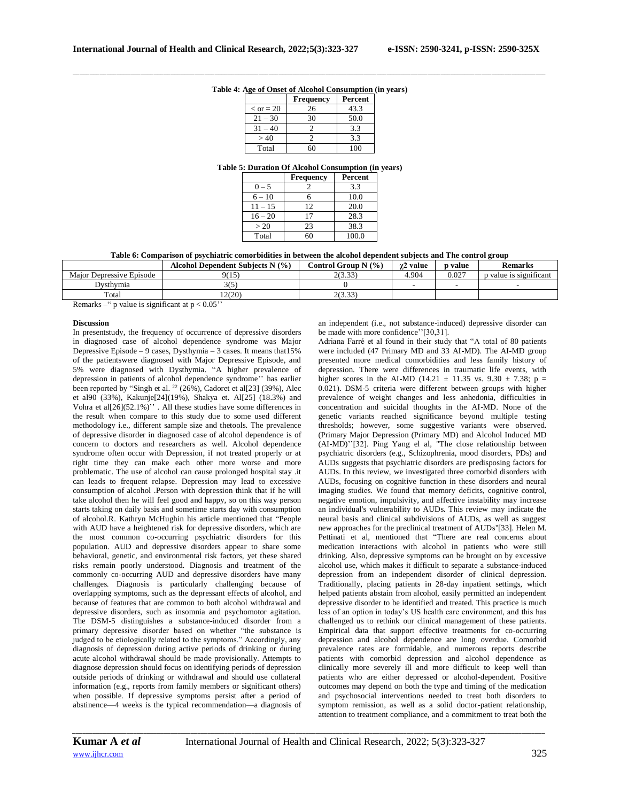| Table 4: Age of Onset of Alcohol Consumption (in years) |  |
|---------------------------------------------------------|--|

|                    | <b>Frequency</b> | Percent |
|--------------------|------------------|---------|
| $\epsilon$ or = 20 | 26               | 43.3    |
| $21 - 30$          | 30               | 50.0    |
| $31 -$             |                  | 3.3     |
| >40                |                  | 3.3     |
| Total              |                  |         |

### **Table 5: Duration Of Alcohol Consumption (in years)**

|           | <b>Frequency</b> | Percent |
|-----------|------------------|---------|
| $0 - 5$   |                  | 3.3     |
| $6 - 10$  |                  | 10.0    |
| $11 - 15$ | 12               | 20.0    |
| $16 - 20$ |                  | 28.3    |
| > 20      | 23               | 38.3    |
| Total     |                  | 100.0   |

**Table 6: Comparison of psychiatric comorbidities in between the alcohol dependent subjects and The control group**

|                          | Alcohol Dependent Subjects N (%) | Control Group N $(\% )$ | γ2 value | <b>p</b> value | Remarks                |
|--------------------------|----------------------------------|-------------------------|----------|----------------|------------------------|
| Maior Depressive Episode | 9(15                             | 2(3.33)                 | 4.904    | 0.027          | p value is significant |
| Dvsthvmia                |                                  |                         |          |                |                        |
| Total                    | 12(20)                           | 2(3.33)                 |          |                |                        |
|                          |                                  |                         |          |                |                        |

Remarks – " p value is significant at  $p < 0.05$ "

#### **Discussion**

In presentstudy, the frequency of occurrence of depressive disorders in diagnosed case of alcohol dependence syndrome was Major Depressive Episode – 9 cases, Dysthymia – 3 cases. It means that15% of the patientswere diagnosed with Major Depressive Episode, and 5% were diagnosed with Dysthymia. "A higher prevalence of depression in patients of alcohol dependence syndrome'' has earlier been reported by "Singh et al. <sup>22</sup> (26%), Cadoret et al[23] (39%), Alec et al90 (33%), Kakunje[24](19%), Shakya et. Al[25] (18.3%) and Vohra et al[26](52.1%)'' . All these studies have some differences in the result when compare to this study due to some used different methodology i.e., different sample size and thetools. The prevalence of depressive disorder in diagnosed case of alcohol dependence is of concern to doctors and researchers as well. Alcohol dependence syndrome often occur with Depression, if not treated properly or at right time they can make each other more worse and more problematic. The use of alcohol can cause prolonged hospital stay .it can leads to frequent relapse. Depression may lead to excessive consumption of alcohol .Person with depression think that if he will take alcohol then he will feel good and happy, so on this way person starts taking on daily basis and sometime starts day with consumption of alcohol.R. Kathryn McHughin his article mentioned that "People with AUD have a heightened risk for depressive disorders, which are the most common co-occurring psychiatric disorders for this population. AUD and depressive disorders appear to share some behavioral, genetic, and environmental risk factors, yet these shared risks remain poorly understood. Diagnosis and treatment of the commonly co-occurring AUD and depressive disorders have many challenges. Diagnosis is particularly challenging because of overlapping symptoms, such as the depressant effects of alcohol, and because of features that are common to both alcohol withdrawal and depressive disorders, such as insomnia and psychomotor agitation. The DSM-5 distinguishes a substance-induced disorder from a primary depressive disorder based on whether "the substance is judged to be etiologically related to the symptoms." Accordingly, any diagnosis of depression during active periods of drinking or during acute alcohol withdrawal should be made provisionally. Attempts to diagnose depression should focus on identifying periods of depression outside periods of drinking or withdrawal and should use collateral information (e.g., reports from family members or significant others) when possible. If depressive symptoms persist after a period of abstinence—4 weeks is the typical recommendation—a diagnosis of an independent (i.e., not substance-induced) depressive disorder can be made with more confidence''[30,31].

Adriana Farré et al found in their study that "A total of 80 patients were included (47 Primary MD and 33 AI-MD). The AI-MD group presented more medical comorbidities and less family history of depression. There were differences in traumatic life events, with higher scores in the AI-MD (14.21  $\pm$  11.35 vs. 9.30  $\pm$  7.38; p = 0.021). DSM-5 criteria were different between groups with higher prevalence of weight changes and less anhedonia, difficulties in concentration and suicidal thoughts in the AI-MD. None of the genetic variants reached significance beyond multiple testing thresholds; however, some suggestive variants were observed. (Primary Major Depression (Primary MD) and Alcohol Induced MD (AI-MD)''[32]. Ping Yang el al, "The close relationship between psychiatric disorders (e.g., Schizophrenia, mood disorders, PDs) and AUDs suggests that psychiatric disorders are predisposing factors for AUDs. In this review, we investigated three comorbid disorders with AUDs, focusing on cognitive function in these disorders and neural imaging studies. We found that memory deficits, cognitive control, negative emotion, impulsivity, and affective instability may increase an individual's vulnerability to AUDs. This review may indicate the neural basis and clinical subdivisions of AUDs, as well as suggest new approaches for the preclinical treatment of AUDs''[33]. Helen M. Pettinati et al, mentioned that "There are real concerns about medication interactions with alcohol in patients who were still drinking. Also, depressive symptoms can be brought on by excessive alcohol use, which makes it difficult to separate a substance-induced depression from an independent disorder of clinical depression. Traditionally, placing patients in 28-day inpatient settings, which helped patients abstain from alcohol, easily permitted an independent depressive disorder to be identified and treated. This practice is much less of an option in today's US health care environment, and this has challenged us to rethink our clinical management of these patients. Empirical data that support effective treatments for co-occurring depression and alcohol dependence are long overdue. Comorbid prevalence rates are formidable, and numerous reports describe patients with comorbid depression and alcohol dependence as clinically more severely ill and more difficult to keep well than patients who are either depressed or alcohol-dependent. Positive outcomes may depend on both the type and timing of the medication and psychosocial interventions needed to treat both disorders to symptom remission, as well as a solid doctor-patient relationship, attention to treatment compliance, and a commitment to treat both the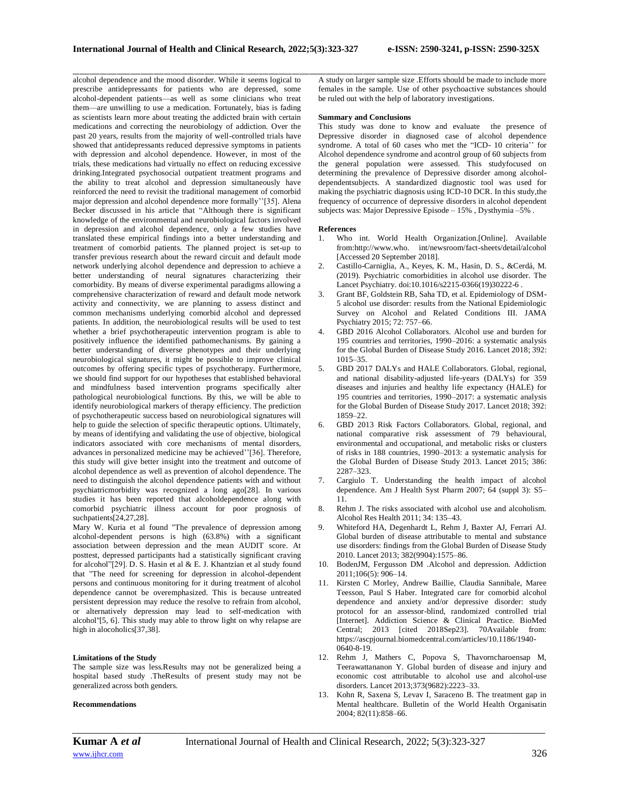alcohol dependence and the mood disorder. While it seems logical to prescribe antidepressants for patients who are depressed, some alcohol-dependent patients—as well as some clinicians who treat them—are unwilling to use a medication. Fortunately, bias is fading as scientists learn more about treating the addicted brain with certain medications and correcting the neurobiology of addiction. Over the past 20 years, results from the majority of well-controlled trials have showed that antidepressants reduced depressive symptoms in patients with depression and alcohol dependence. However, in most of the trials, these medications had virtually no effect on reducing excessive drinking.Integrated psychosocial outpatient treatment programs and the ability to treat alcohol and depression simultaneously have reinforced the need to revisit the traditional management of comorbid major depression and alcohol dependence more formally''[35]. [Alena](https://www.ncbi.nlm.nih.gov/pubmed/?term=Becker%20A%5BAuthor%5D&cauthor=true&cauthor_uid=28454522)  [Becker](https://www.ncbi.nlm.nih.gov/pubmed/?term=Becker%20A%5BAuthor%5D&cauthor=true&cauthor_uid=28454522) discussed in his article that "Although there is significant knowledge of the environmental and neurobiological factors involved in depression and alcohol dependence, only a few studies have translated these empirical findings into a better understanding and treatment of comorbid patients. The planned project is set-up to transfer previous research about the reward circuit and default mode network underlying alcohol dependence and depression to achieve a better understanding of neural signatures characterizing their comorbidity. By means of diverse experimental paradigms allowing a comprehensive characterization of reward and default mode network activity and connectivity, we are planning to assess distinct and common mechanisms underlying comorbid alcohol and depressed patients. In addition, the neurobiological results will be used to test whether a brief psychotherapeutic intervention program is able to positively influence the identified pathomechanisms. By gaining a better understanding of diverse phenotypes and their underlying neurobiological signatures, it might be possible to improve clinical outcomes by offering specific types of psychotherapy. Furthermore, we should find support for our hypotheses that established behavioral and mindfulness based intervention programs specifically alter pathological neurobiological functions. By this, we will be able to identify neurobiological markers of therapy efficiency. The prediction of psychotherapeutic success based on neurobiological signatures will help to guide the selection of specific therapeutic options. Ultimately, by means of identifying and validating the use of objective, biological indicators associated with core mechanisms of mental disorders, advances in personalized medicine may be achieved''[36]. Therefore, this study will give better insight into the treatment and outcome of alcohol dependence as well as prevention of alcohol dependence. The need to distinguish the alcohol dependence patients with and without psychiatricmorbidity was recognized a long ago[28]. In various studies it has been reported that alcoholdependence along with comorbid psychiatric illness account for poor prognosis of suchpatients[24,27,28].

Mary W. Kuria et al found "The prevalence of depression among alcohol-dependent persons is high (63.8%) with a significant association between depression and the mean AUDIT score. At posttest, depressed participants had a statistically significant craving for alcohol"[29]. D. S. Hasin et al & E. J. Khantzian et al study found that "The need for screening for depression in alcohol-dependent persons and continuous monitoring for it during treatment of alcohol dependence cannot be overemphasized. This is because untreated persistent depression may reduce the resolve to refrain from alcohol, or alternatively depression may lead to self-medication with alcohol''[5, 6]. This study may able to throw light on why relapse are high in alocoholics[37,38].

## **Limitations of the Study**

The sample size was less.Results may not be generalized being a hospital based study .TheResults of present study may not be generalized across both genders.

## **Recommendations**

\_\_\_\_\_\_\_\_\_\_\_\_\_\_\_\_\_\_\_\_\_\_\_\_\_\_\_\_\_\_\_\_\_\_\_\_\_\_\_\_\_\_\_\_\_\_\_\_\_\_\_\_\_\_\_\_\_\_\_\_\_\_\_\_\_\_\_\_\_\_\_\_\_\_\_\_\_\_\_\_\_\_\_\_\_\_\_\_\_\_\_\_\_\_\_\_\_\_\_\_\_\_\_\_\_\_\_\_\_\_\_\_\_\_\_\_\_\_\_\_\_\_\_\_\_\_\_\_\_\_\_\_\_\_\_\_\_\_\_\_ A study on larger sample size .Efforts should be made to include more females in the sample. Use of other psychoactive substances should be ruled out with the help of laboratory investigations.

## **Summary and Conclusions**

This study was done to know and evaluate the presence of Depressive disorder in diagnosed case of alcohol dependence syndrome. A total of 60 cases who met the "ICD- 10 criteria'' for Alcohol dependence syndrome and acontrol group of 60 subjects from the general population were assessed. This studyfocused on determining the prevalence of Depressive disorder among alcoholdependentsubjects. A standardized diagnostic tool was used for making the psychiatric diagnosis using ICD-10 DCR. In this study,the frequency of occurrence of depressive disorders in alcohol dependent subjects was: Major Depressive Episode – 15% , Dysthymia –5% .

## **References**

- 1. Who int. World Health Organization.[Online]. Available from:http://www.who. int/newsroom/fact-sheets/detail/alcohol [Accessed 20 September 2018].
- 2. Castillo-Carniglia, A., Keyes, K. M., Hasin, D. S., &Cerdá, M. (2019). Psychiatric comorbidities in alcohol use disorder. The Lancet Psychiatry. doi:10.1016/s2215-0366(19)30222-6 .
- 3. Grant BF, Goldstein RB, Saha TD, et al. Epidemiology of DSM-5 alcohol use disorder: results from the National Epidemiologic Survey on Alcohol and Related Conditions III. JAMA Psychiatry 2015; 72: 757–66.
- 4. GBD 2016 Alcohol Collaborators. Alcohol use and burden for 195 countries and territories, 1990–2016: a systematic analysis for the Global Burden of Disease Study 2016. Lancet 2018; 392: 1015–35.
- 5. GBD 2017 DALYs and HALE Collaborators. Global, regional, and national disability-adjusted life-years (DALYs) for 359 diseases and injuries and healthy life expectancy (HALE) for 195 countries and territories, 1990–2017: a systematic analysis for the Global Burden of Disease Study 2017. Lancet 2018; 392: 1859–22.
- 6. GBD 2013 Risk Factors Collaborators. Global, regional, and national comparative risk assessment of 79 behavioural, environmental and occupational, and metabolic risks or clusters of risks in 188 countries, 1990–2013: a systematic analysis for the Global Burden of Disease Study 2013. Lancet 2015; 386: 2287–323.
- 7. Cargiulo T. Understanding the health impact of alcohol dependence. Am J Health Syst Pharm 2007; 64 (suppl 3): S5– 11.
- 8. Rehm J. The risks associated with alcohol use and alcoholism. Alcohol Res Health 2011; 34: 135–43.
- 9. Whiteford HA, Degenhardt L, Rehm J, Baxter AJ, Ferrari AJ. Global burden of disease attributable to mental and substance use disorders: findings from the Global Burden of Disease Study 2010. Lancet 2013; 382(9904):1575–86.
- 10. BodenJM, Fergusson DM .Alcohol and depression. Addiction 2011;106(5): 906–14.
- 11. Kirsten C Morley, Andrew Baillie, Claudia Sannibale, Maree Teesson, Paul S Haber. Integrated care for comorbid alcohol dependence and anxiety and/or depressive disorder: study protocol for an assessor-blind, randomized controlled trial [Internet]. Addiction Science & Clinical Practice. BioMed Central; 2013 [cited 2018Sep23]. 70Available from: https://ascpjournal.biomedcentral.com/articles/10.1186/1940- 0640-8-19.
- 12. Rehm J, Mathers C, Popova S, Thavorncharoensap M, Teerawattananon Y. Global burden of disease and injury and economic cost attributable to alcohol use and alcohol-use disorders. Lancet 2013;373(9682):2223–33.
- 13. Kohn R, Saxena S, Levav I, Saraceno B. The treatment gap in Mental healthcare. Bulletin of the World Health Organisatin 2004; 82(11):858–66.